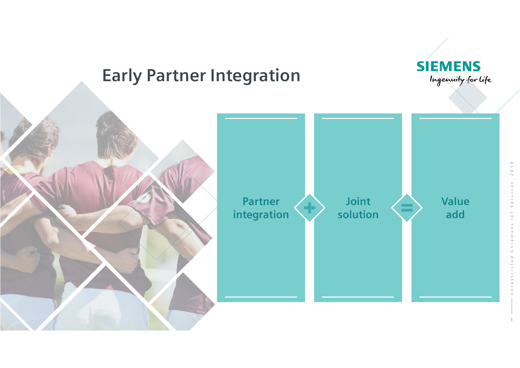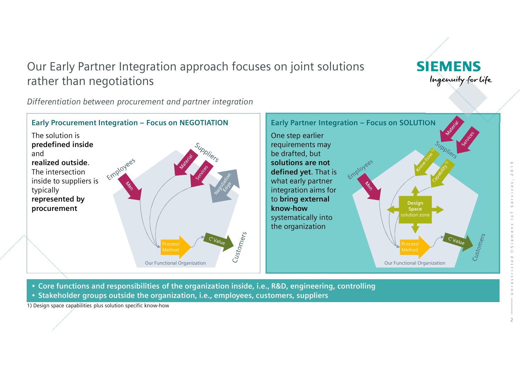## Our Early Partner Integration approach focuses on joint solutions rather than negotiations

*Differentiation between procurement and partner integration*



• **Core functions and responsibilities of the organization inside, i.e., R&D, engineering, controlling** • **Stakeholder groups outside the organization, i.e., employees, customers, suppliers**

1) Design space capabilities plus solution specific know-how

**SIEMENS** 

Ingenuity for life